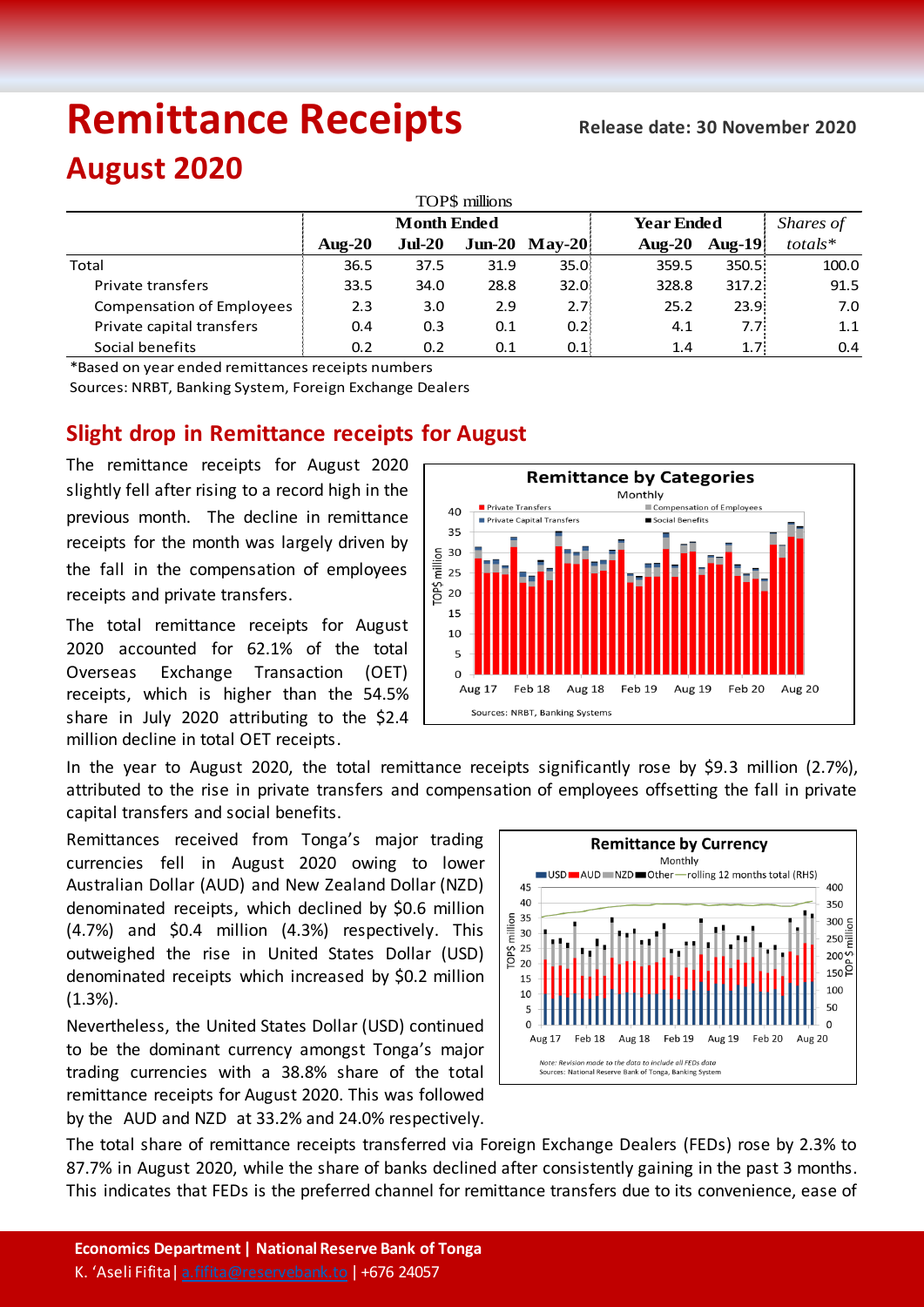# **Remittance Receipts Release date: <sup>30</sup> November 2020**

## **August 2020**

| TOP\$ millions                   |                    |          |      |                  |                   |                   |            |  |  |  |  |  |
|----------------------------------|--------------------|----------|------|------------------|-------------------|-------------------|------------|--|--|--|--|--|
|                                  | <b>Month Ended</b> |          |      |                  | <b>Year Ended</b> |                   | Shares of  |  |  |  |  |  |
|                                  | Aug- $20$          | $Jul-20$ |      | $Jun-20$ May-20  | Aug- $20$         | Aug- $19$         | $totals^*$ |  |  |  |  |  |
| Total                            | 36.5               | 37.5     | 31.9 | 35.0             | 359.5             | 350.5             | 100.0      |  |  |  |  |  |
| Private transfers                | 33.5               | 34.0     | 28.8 | 32.0             | 328.8             | 317.2:            | 91.5       |  |  |  |  |  |
| <b>Compensation of Employees</b> | 2.3                | 3.0      | 2.9  | 2.7 <sup>8</sup> | 25.2              | 23.9 <sup>1</sup> | 7.0        |  |  |  |  |  |
| Private capital transfers        | 0.4                | 0.3      | 0.1  | 0.2              | 4.1               | 7.7 <sub>i</sub>  | 1.1        |  |  |  |  |  |
| Social benefits                  | 0.2                | 0.2      | 0.1  | 0.1              | 1.4               | 1.7 <sup>1</sup>  | 0.4        |  |  |  |  |  |

\*Based on year ended remittances receipts numbers

Sources: NRBT, Banking System, Foreign Exchange Dealers

### **Slight drop in Remittance receipts for August**

The remittance receipts for August 2020 slightly fell after rising to a record high in the previous month. The decline in remittance receipts for the month was largely driven by the fall in the compensation of employees receipts and private transfers.

The total remittance receipts for August 2020 accounted for 62.1% of the total Overseas Exchange Transaction (OET) receipts, which is higher than the 54.5% share in July 2020 attributing to the \$2.4 million decline in total OET receipts.



In the year to August 2020, the total remittance receipts significantly rose by \$9.3 million (2.7%), attributed to the rise in private transfers and compensation of employees offsetting the fall in private capital transfers and social benefits.

Remittances received from Tonga's major trading currencies fell in August 2020 owing to lower Australian Dollar (AUD) and New Zealand Dollar (NZD) denominated receipts, which declined by \$0.6 million (4.7%) and \$0.4 million (4.3%) respectively. This outweighed the rise in United States Dollar (USD) denominated receipts which increased by \$0.2 million (1.3%).

Nevertheless, the United States Dollar (USD) continued to be the dominant currency amongst Tonga's major trading currencies with a 38.8% share of the total remittance receipts for August 2020. This was followed by the AUD and NZD at 33.2% and 24.0% respectively.



The total share of remittance receipts transferred via Foreign Exchange Dealers (FEDs) rose by 2.3% to 87.7% in August 2020, while the share of banks declined after consistently gaining in the past 3 months. This indicates that FEDs is the preferred channel for remittance transfers due to its convenience, ease of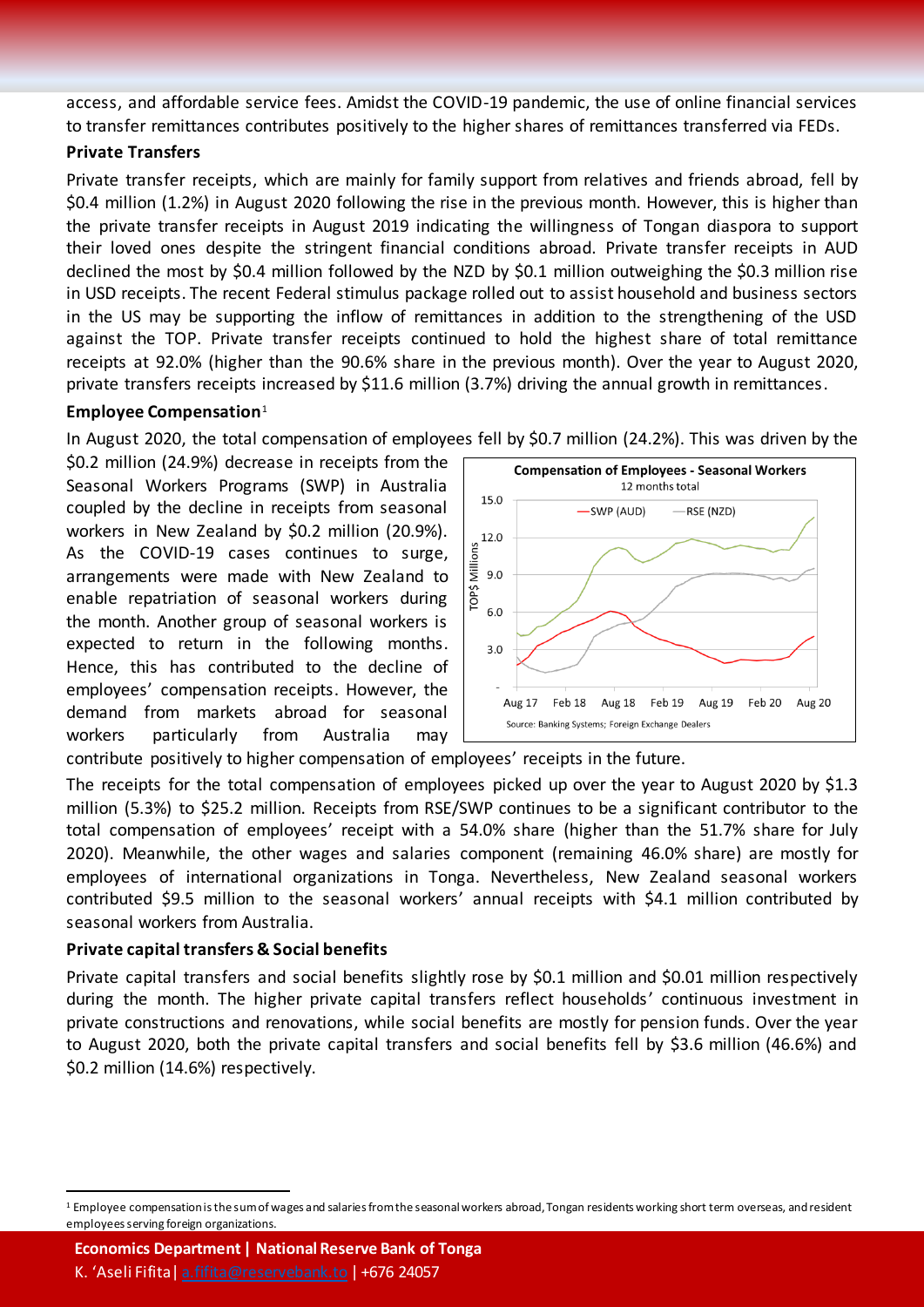access, and affordable service fees. Amidst the COVID-19 pandemic, the use of online financial services to transfer remittances contributes positively to the higher shares of remittances transferred via FEDs.

#### **Private Transfers**

Private transfer receipts, which are mainly for family support from relatives and friends abroad, fell by \$0.4 million (1.2%) in August 2020 following the rise in the previous month. However, this is higher than the private transfer receipts in August 2019 indicating the willingness of Tongan diaspora to support their loved ones despite the stringent financial conditions abroad. Private transfer receipts in AUD declined the most by \$0.4 million followed by the NZD by \$0.1 million outweighing the \$0.3 million rise in USD receipts. The recent Federal stimulus package rolled out to assist household and business sectors in the US may be supporting the inflow of remittances in addition to the strengthening of the USD against the TOP. Private transfer receipts continued to hold the highest share of total remittance receipts at 92.0% (higher than the 90.6% share in the previous month). Over the year to August 2020, private transfers receipts increased by \$11.6 million (3.7%) driving the annual growth in remittances.

#### **Employee Compensation**<sup>1</sup>

In August 2020, the total compensation of employees fell by \$0.7 million (24.2%). This was driven by the

\$0.2 million (24.9%) decrease in receipts from the Seasonal Workers Programs (SWP) in Australia coupled by the decline in receipts from seasonal workers in New Zealand by \$0.2 million (20.9%). As the COVID-19 cases continues to surge, arrangements were made with New Zealand to enable repatriation of seasonal workers during the month. Another group of seasonal workers is expected to return in the following months. Hence, this has contributed to the decline of employees' compensation receipts. However, the demand from markets abroad for seasonal workers particularly from Australia may



contribute positively to higher compensation of employees' receipts in the future.

The receipts for the total compensation of employees picked up over the year to August 2020 by \$1.3 million (5.3%) to \$25.2 million. Receipts from RSE/SWP continues to be a significant contributor to the total compensation of employees' receipt with a 54.0% share (higher than the 51.7% share for July 2020). Meanwhile, the other wages and salaries component (remaining 46.0% share) are mostly for employees of international organizations in Tonga. Nevertheless, New Zealand seasonal workers contributed \$9.5 million to the seasonal workers' annual receipts with \$4.1 million contributed by seasonal workers from Australia.

#### **Private capital transfers & Social benefits**

 $\overline{a}$ 

Private capital transfers and social benefits slightly rose by \$0.1 million and \$0.01 million respectively during the month. The higher private capital transfers reflect households' continuous investment in private constructions and renovations, while social benefits are mostly for pension funds. Over the year to August 2020, both the private capital transfers and social benefits fell by \$3.6 million (46.6%) and \$0.2 million (14.6%) respectively.

**Economics Department | National Reserve Bank of Tonga** K. 'Aseli Fifita [| a.fifita@reservebank.to](mailto:a.fifita@reservebank.to) | +676 24057

<sup>&</sup>lt;sup>1</sup> Employee compensation is the sum of wages and salaries from the seasonal workers abroad, Tongan residents working short term overseas, and resident employees serving foreign organizations.